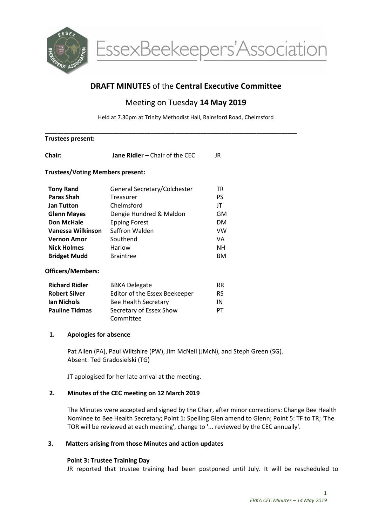

# DRAFT MINUTES of the Central Executive Committee

## Meeting on Tuesday 14 May 2019

Held at 7.30pm at Trinity Methodist Hall, Rainsford Road, Chelmsford

| <b>Trustees present:</b>                |                                      |           |
|-----------------------------------------|--------------------------------------|-----------|
| Chair:                                  | Jane Ridler - Chair of the CEC       | JR.       |
| <b>Trustees/Voting Members present:</b> |                                      |           |
| <b>Tony Rand</b>                        | General Secretary/Colchester         | TR        |
| <b>Paras Shah</b>                       | Treasurer                            | PS.       |
| <b>Jan Tutton</b>                       | Chelmsford                           | JT        |
| <b>Glenn Mayes</b>                      | Dengie Hundred & Maldon              | GM        |
| <b>Don McHale</b>                       | <b>Epping Forest</b>                 | <b>DM</b> |
| Vanessa Wilkinson                       | Saffron Walden                       | <b>VW</b> |
| <b>Vernon Amor</b>                      | Southend                             | VA        |
| <b>Nick Holmes</b>                      | Harlow                               | <b>NH</b> |
| <b>Bridget Mudd</b>                     | <b>Braintree</b>                     | <b>BM</b> |
| <b>Officers/Members:</b>                |                                      |           |
| <b>Richard Ridler</b>                   | <b>BBKA Delegate</b>                 | <b>RR</b> |
| <b>Robert Silver</b>                    | Editor of the Essex Beekeeper        | <b>RS</b> |
| <b>Ian Nichols</b>                      | Bee Health Secretary                 | IN        |
| <b>Pauline Tidmas</b>                   | Secretary of Essex Show<br>Committee | PT        |
| <b>Apologies for absence</b><br>1.      |                                      |           |

Pat Allen (PA), Paul Wiltshire (PW), Jim McNeil (JMcN), and Steph Green (SG). Absent: Ted Gradosielski (TG)

JT apologised for her late arrival at the meeting.

## 2. Minutes of the CEC meeting on 12 March 2019

The Minutes were accepted and signed by the Chair, after minor corrections: Change Bee Health Nominee to Bee Health Secretary; Point 1: Spelling Glen amend to Glenn; Point 5: TF to TR; 'The TOR will be reviewed at each meeting', change to '... reviewed by the CEC annually'.

## 3. Matters arising from those Minutes and action updates

## Point 3: Trustee Training Day

JR reported that trustee training had been postponed until July. It will be rescheduled to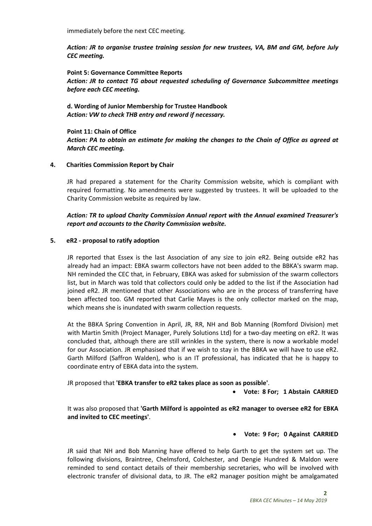immediately before the next CEC meeting.

Action: JR to organise trustee training session for new trustees, VA, BM and GM, before July CEC meeting.

Point 5: Governance Committee Reports Action: JR to contact TG about requested scheduling of Governance Subcommittee meetings before each CEC meeting.

d. Wording of Junior Membership for Trustee Handbook Action: VW to check THB entry and reword if necessary.

Point 11: Chain of Office Action: PA to obtain an estimate for making the changes to the Chain of Office as agreed at March CEC meeting.

#### 4. Charities Commission Report by Chair

JR had prepared a statement for the Charity Commission website, which is compliant with required formatting. No amendments were suggested by trustees. It will be uploaded to the Charity Commission website as required by law.

## Action: TR to upload Charity Commission Annual report with the Annual examined Treasurer's report and accounts to the Charity Commission website.

#### 5. eR2 - proposal to ratify adoption

JR reported that Essex is the last Association of any size to join eR2. Being outside eR2 has already had an impact: EBKA swarm collectors have not been added to the BBKA's swarm map. NH reminded the CEC that, in February, EBKA was asked for submission of the swarm collectors list, but in March was told that collectors could only be added to the list if the Association had joined eR2. JR mentioned that other Associations who are in the process of transferring have been affected too. GM reported that Carlie Mayes is the only collector marked on the map, which means she is inundated with swarm collection requests.

At the BBKA Spring Convention in April, JR, RR, NH and Bob Manning (Romford Division) met with Martin Smith (Project Manager, Purely Solutions Ltd) for a two-day meeting on eR2. It was concluded that, although there are still wrinkles in the system, there is now a workable model for our Association. JR emphasised that if we wish to stay in the BBKA we will have to use eR2. Garth Milford (Saffron Walden), who is an IT professional, has indicated that he is happy to coordinate entry of EBKA data into the system.

JR proposed that 'EBKA transfer to eR2 takes place as soon as possible'.

Vote: 8 For; 1 Abstain CARRIED

It was also proposed that 'Garth Milford is appointed as eR2 manager to oversee eR2 for EBKA and invited to CEC meetings'.

#### Vote: 9 For; 0 Against CARRIED

JR said that NH and Bob Manning have offered to help Garth to get the system set up. The following divisions, Braintree, Chelmsford, Colchester, and Dengie Hundred & Maldon were reminded to send contact details of their membership secretaries, who will be involved with electronic transfer of divisional data, to JR. The eR2 manager position might be amalgamated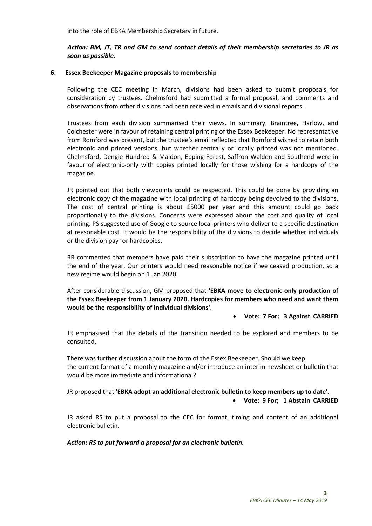into the role of EBKA Membership Secretary in future.

Action: BM, JT, TR and GM to send contact details of their membership secretaries to JR as soon as possible.

#### 6. Essex Beekeeper Magazine proposals to membership

Following the CEC meeting in March, divisions had been asked to submit proposals for consideration by trustees. Chelmsford had submitted a formal proposal, and comments and observations from other divisions had been received in emails and divisional reports.

Trustees from each division summarised their views. In summary, Braintree, Harlow, and Colchester were in favour of retaining central printing of the Essex Beekeeper. No representative from Romford was present, but the trustee's email reflected that Romford wished to retain both electronic and printed versions, but whether centrally or locally printed was not mentioned. Chelmsford, Dengie Hundred & Maldon, Epping Forest, Saffron Walden and Southend were in favour of electronic-only with copies printed locally for those wishing for a hardcopy of the magazine.

JR pointed out that both viewpoints could be respected. This could be done by providing an electronic copy of the magazine with local printing of hardcopy being devolved to the divisions. The cost of central printing is about £5000 per year and this amount could go back proportionally to the divisions. Concerns were expressed about the cost and quality of local printing. PS suggested use of Google to source local printers who deliver to a specific destination at reasonable cost. It would be the responsibility of the divisions to decide whether individuals or the division pay for hardcopies.

RR commented that members have paid their subscription to have the magazine printed until the end of the year. Our printers would need reasonable notice if we ceased production, so a new regime would begin on 1 Jan 2020.

After considerable discussion, GM proposed that 'EBKA move to electronic-only production of the Essex Beekeeper from 1 January 2020. Hardcopies for members who need and want them would be the responsibility of individual divisions'.

#### Vote: 7 For; 3 Against CARRIED

JR emphasised that the details of the transition needed to be explored and members to be consulted.

There was further discussion about the form of the Essex Beekeeper. Should we keep the current format of a monthly magazine and/or introduce an interim newsheet or bulletin that would be more immediate and informational?

JR proposed that 'EBKA adopt an additional electronic bulletin to keep members up to date'. Vote: 9 For; 1 Abstain CARRIED

JR asked RS to put a proposal to the CEC for format, timing and content of an additional electronic bulletin.

Action: RS to put forward a proposal for an electronic bulletin.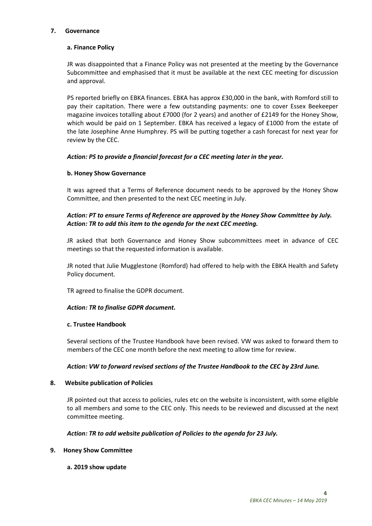#### 7. Governance

#### a. Finance Policy

JR was disappointed that a Finance Policy was not presented at the meeting by the Governance Subcommittee and emphasised that it must be available at the next CEC meeting for discussion and approval.

PS reported briefly on EBKA finances. EBKA has approx £30,000 in the bank, with Romford still to pay their capitation. There were a few outstanding payments: one to cover Essex Beekeeper magazine invoices totalling about £7000 (for 2 years) and another of £2149 for the Honey Show, which would be paid on 1 September. EBKA has received a legacy of £1000 from the estate of the late Josephine Anne Humphrey. PS will be putting together a cash forecast for next year for review by the CEC.

#### Action: PS to provide a financial forecast for a CEC meeting later in the year.

#### b. Honey Show Governance

It was agreed that a Terms of Reference document needs to be approved by the Honey Show Committee, and then presented to the next CEC meeting in July.

## Action: PT to ensure Terms of Reference are approved by the Honey Show Committee by July. Action: TR to add this item to the agenda for the next CEC meeting.

JR asked that both Governance and Honey Show subcommittees meet in advance of CEC meetings so that the requested information is available.

JR noted that Julie Mugglestone (Romford) had offered to help with the EBKA Health and Safety Policy document.

TR agreed to finalise the GDPR document.

#### Action: TR to finalise GDPR document.

#### c. Trustee Handbook

Several sections of the Trustee Handbook have been revised. VW was asked to forward them to members of the CEC one month before the next meeting to allow time for review.

#### Action: VW to forward revised sections of the Trustee Handbook to the CEC by 23rd June.

#### 8. Website publication of Policies

JR pointed out that access to policies, rules etc on the website is inconsistent, with some eligible to all members and some to the CEC only. This needs to be reviewed and discussed at the next committee meeting.

#### Action: TR to add website publication of Policies to the agenda for 23 July.

#### 9. Honey Show Committee

#### a. 2019 show update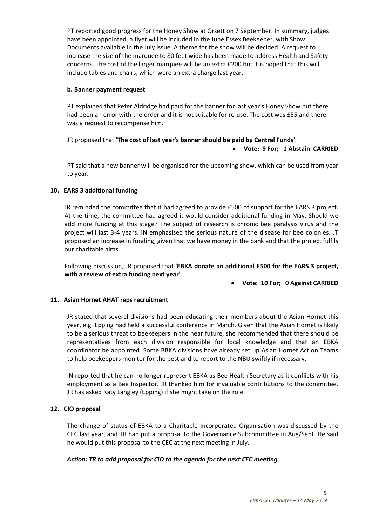PT reported good progress for the Honey Show at Orsett on 7 September. In summary, judges have been appointed, a flyer will be included in the June Essex Beekeeper, with Show Documents available in the July issue. A theme for the show will be decided. A request to increase the size of the marquee to 80 feet wide has been made to address Health and Safety concerns. The cost of the larger marquee will be an extra £200 but it is hoped that this will include tables and chairs, which were an extra charge last year.

### b. Banner payment request

PT explained that Peter Aldridge had paid for the banner for last year's Honey Show but there had been an error with the order and it is not suitable for re-use. The cost was £55 and there was a request to recompense him.

JR proposed that 'The cost of last year's banner should be paid by Central Funds'.

#### Vote: 9 For; 1 Abstain CARRIED

PT said that a new banner will be organised for the upcoming show, which can be used from year to year.

## 10. EARS 3 additional funding

JR reminded the committee that it had agreed to provide £500 of support for the EARS 3 project. At the time, the committee had agreed it would consider additional funding in May. Should we add more funding at this stage? The subject of research is chronic bee paralysis virus and the project will last 3-4 years. IN emphasised the serious nature of the disease for bee colonies. JT proposed an increase in funding, given that we have money in the bank and that the project fulfils our charitable aims.

Following discussion, JR proposed that 'EBKA donate an additional £500 for the EARS 3 project, with a review of extra funding next year'.

Vote: 10 For; 0 Against CARRIED

## 11. Asian Hornet AHAT reps recruitment

JR stated that several divisions had been educating their members about the Asian Hornet this year, e.g. Epping had held a successful conference in March. Given that the Asian Hornet is likely to be a serious threat to beekeepers in the near future, she recommended that there should be representatives from each division responsible for local knowledge and that an EBKA coordinator be appointed. Some BBKA divisions have already set up Asian Hornet Action Teams to help beekeepers monitor for the pest and to report to the NBU swiftly if necessary.

IN reported that he can no longer represent EBKA as Bee Health Secretary as it conflicts with his employment as a Bee Inspector. JR thanked him for invaluable contributions to the committee. JR has asked Katy Langley (Epping) if she might take on the role.

## 12. CIO proposal

The change of status of EBKA to a Charitable Incorporated Organisation was discussed by the CEC last year, and TR had put a proposal to the Governance Subcommittee in Aug/Sept. He said he would put this proposal to the CEC at the next meeting in July.

#### Action: TR to add proposal for CIO to the agenda for the next CEC meeting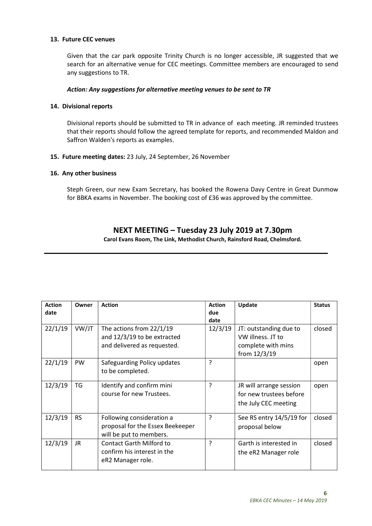#### 13. Future CEC venues

Given that the car park opposite Trinity Church is no longer accessible, JR suggested that we search for an alternative venue for CEC meetings. Committee members are encouraged to send any suggestions to TR.

#### Action: Any suggestions for alternative meeting venues to be sent to TR

#### 14. Divisional reports

Divisional reports should be submitted to TR in advance of each meeting. JR reminded trustees that their reports should follow the agreed template for reports, and recommended Maldon and Saffron Walden's reports as examples.

15. Future meeting dates: 23 July, 24 September, 26 November

#### 16. Any other business

Steph Green, our new Exam Secretary, has booked the Rowena Davy Centre in Great Dunmow for BBKA exams in November. The booking cost of £36 was approved by the committee.

## NEXT MEETING – Tuesday 23 July 2019 at 7.30pm

Carol Evans Room, The Link, Methodist Church, Rainsford Road, Chelmsford.

| <b>Action</b><br>date | Owner     | <b>Action</b>                                                                            | <b>Action</b><br>due<br>date | Update                                                                              | <b>Status</b> |
|-----------------------|-----------|------------------------------------------------------------------------------------------|------------------------------|-------------------------------------------------------------------------------------|---------------|
| 22/1/19               | VW/JT     | The actions from 22/1/19<br>and 12/3/19 to be extracted<br>and delivered as requested.   | 12/3/19                      | JT: outstanding due to<br>VW illness. JT to<br>complete with mins<br>from $12/3/19$ | closed        |
| 22/1/19               | <b>PW</b> | Safeguarding Policy updates<br>to be completed.                                          | ?                            |                                                                                     | open          |
| 12/3/19               | TG        | Identify and confirm mini<br>course for new Trustees.                                    | 5                            | JR will arrange session<br>for new trustees before<br>the July CEC meeting          | open          |
| 12/3/19               | <b>RS</b> | Following consideration a<br>proposal for the Essex Beekeeper<br>will be put to members. | ?                            | See RS entry 14/5/19 for<br>proposal below                                          | closed        |
| 12/3/19               | JR.       | <b>Contact Garth Milford to</b><br>confirm his interest in the<br>eR2 Manager role.      | P                            | Garth is interested in<br>the eR2 Manager role                                      | closed        |